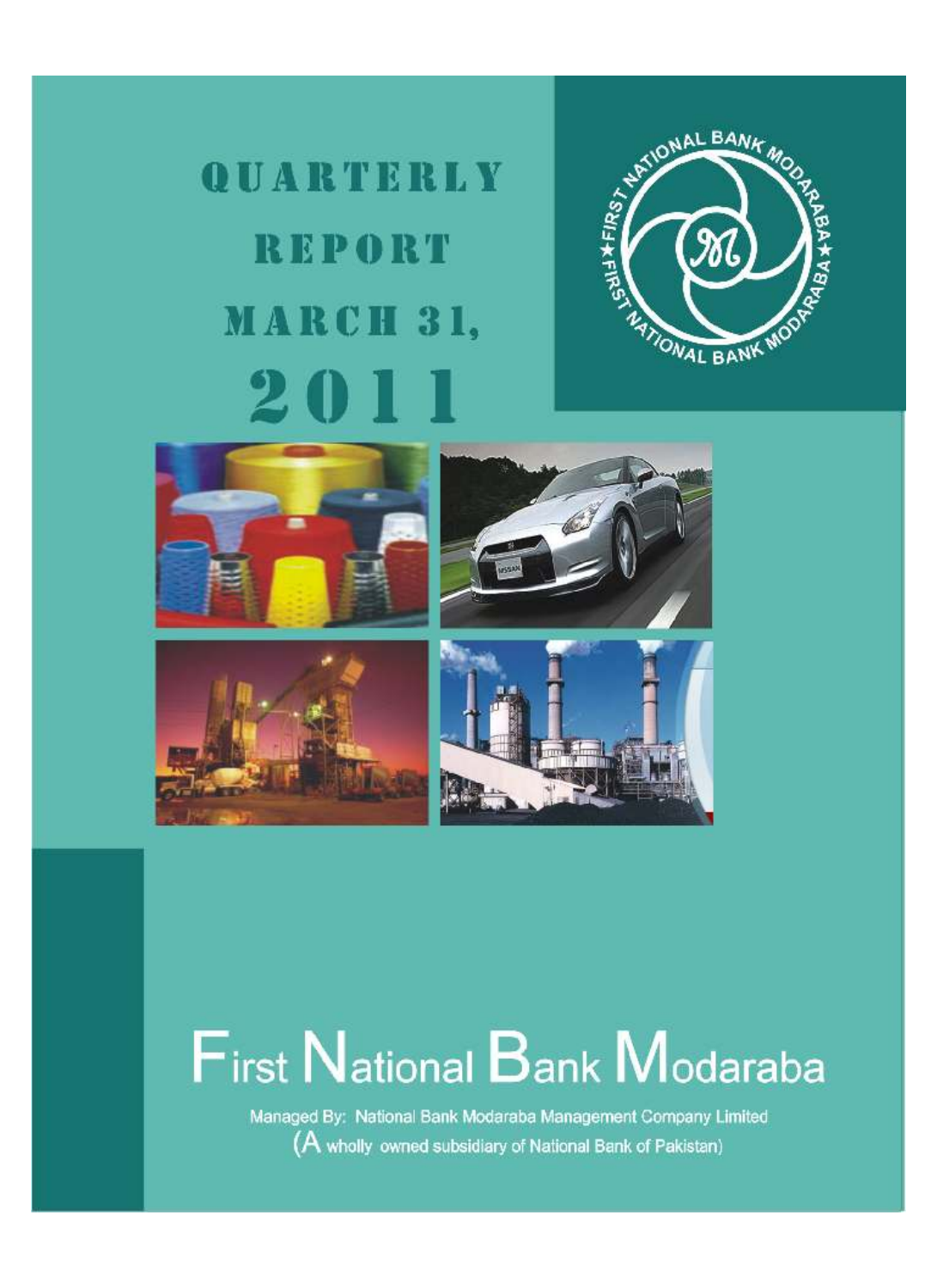# QUARTERLY **REPORT** MARCH 31, 201











# **First National Bank Modaraba**

Managed By: National Bank Modaraba Management Company Limited (A wholly owned subsidiary of National Bank of Pakistan)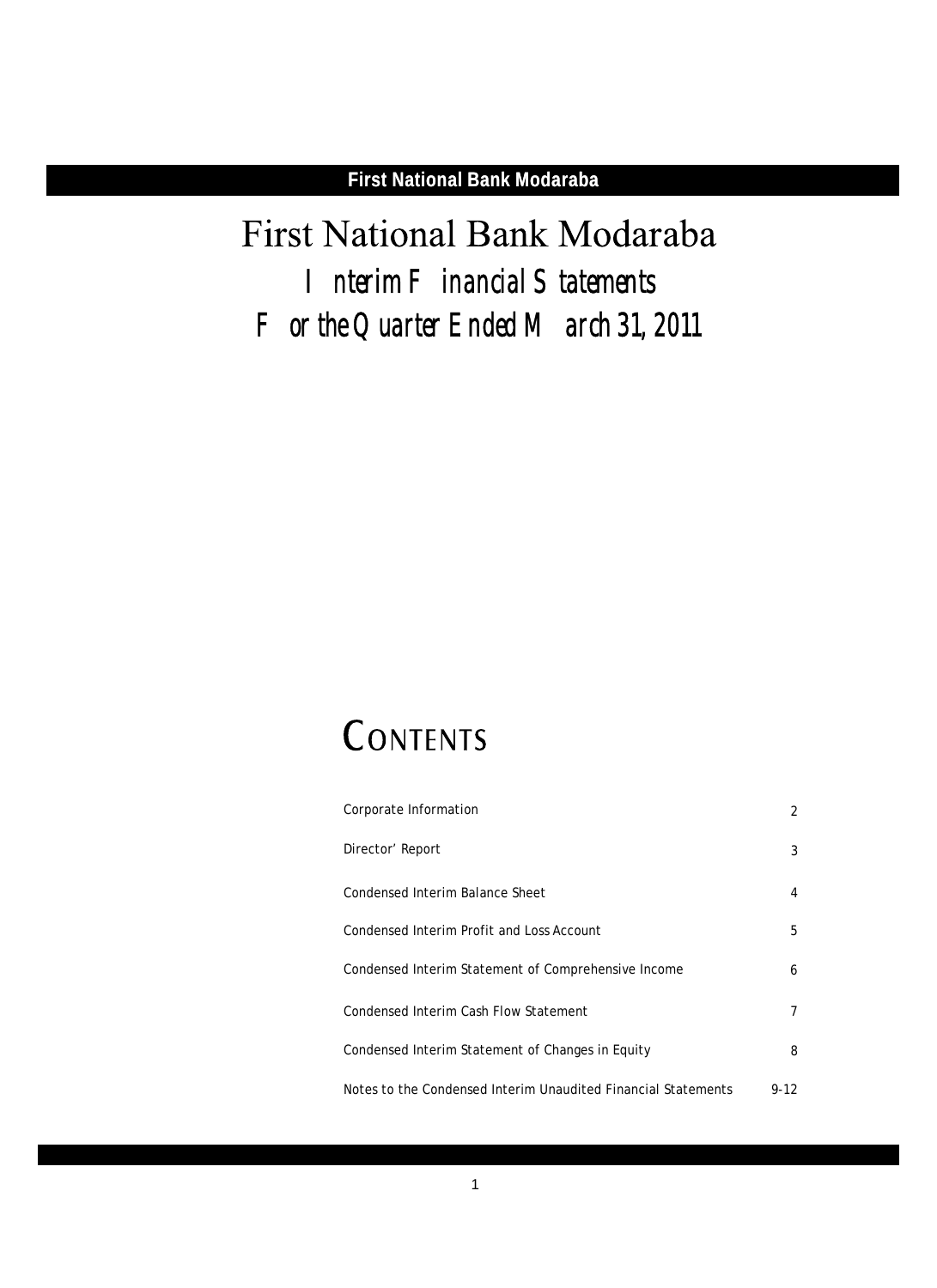# First National Bank Modaraba *Interim Financial Statements For the Quarter Ended March 31, 2011*

# CONTENTS

| Corporate Information                                         | 2      |
|---------------------------------------------------------------|--------|
| Director' Report                                              | 3      |
| Condensed Interim Balance Sheet                               | 4      |
| Condensed Interim Profit and Loss Account                     | 5      |
| Condensed Interim Statement of Comprehensive Income           | 6      |
| Condensed Interim Cash Flow Statement                         | 7      |
| Condensed Interim Statement of Changes in Equity              | 8      |
| Notes to the Condensed Interim Unaudited Financial Statements | $9-12$ |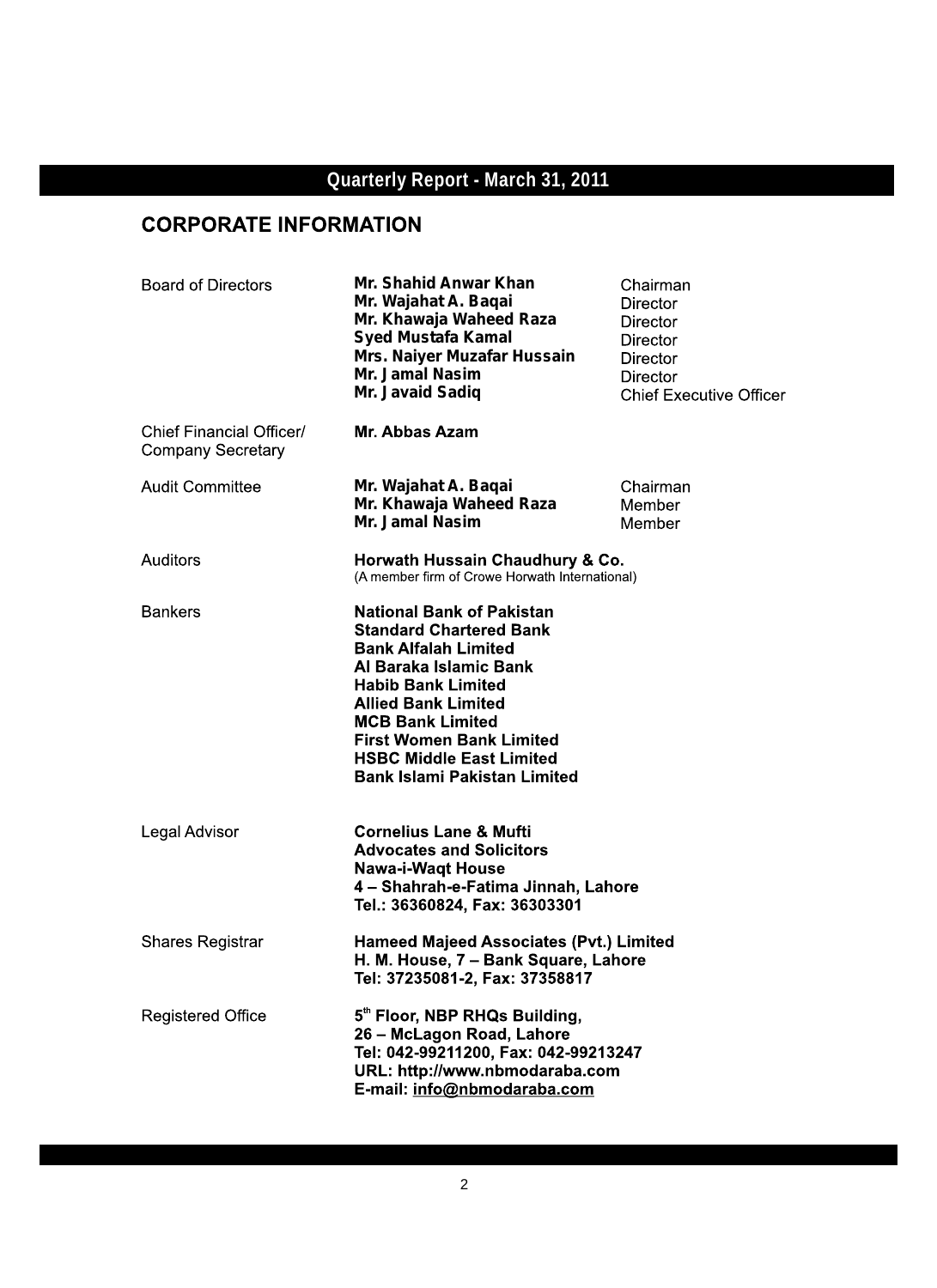# **CORPORATE INFORMATION**

| <b>Board of Directors</b>                            | Mr. Shahid Anwar Khan<br>Mr. Wajahat A. Baqai<br>Mr. Khawaja Waheed Raza<br><b>Syed Mustafa Kamal</b><br>Mrs. Naiyer Muzafar Hussain<br>Mr. Jamal Nasim<br>Mr. Javaid Sadiq                                                                                                                                                    | Chairman<br>Director<br>Director<br>Director<br>Director<br>Director<br><b>Chief Executive Officer</b> |
|------------------------------------------------------|--------------------------------------------------------------------------------------------------------------------------------------------------------------------------------------------------------------------------------------------------------------------------------------------------------------------------------|--------------------------------------------------------------------------------------------------------|
| Chief Financial Officer/<br><b>Company Secretary</b> | Mr. Abbas Azam                                                                                                                                                                                                                                                                                                                 |                                                                                                        |
| <b>Audit Committee</b>                               | Mr. Wajahat A. Baqai<br>Mr. Khawaja Waheed Raza<br>Mr. Jamal Nasim                                                                                                                                                                                                                                                             | Chairman<br>Member<br>Member                                                                           |
| Auditors                                             | Horwath Hussain Chaudhury & Co.<br>(A member firm of Crowe Horwath International)                                                                                                                                                                                                                                              |                                                                                                        |
| <b>Bankers</b>                                       | <b>National Bank of Pakistan</b><br><b>Standard Chartered Bank</b><br><b>Bank Alfalah Limited</b><br>Al Baraka Islamic Bank<br><b>Habib Bank Limited</b><br><b>Allied Bank Limited</b><br><b>MCB Bank Limited</b><br><b>First Women Bank Limited</b><br><b>HSBC Middle East Limited</b><br><b>Bank Islami Pakistan Limited</b> |                                                                                                        |
| Legal Advisor                                        | <b>Cornelius Lane &amp; Mufti</b><br><b>Advocates and Solicitors</b><br><b>Nawa-i-Waqt House</b><br>4 - Shahrah-e-Fatima Jinnah, Lahore<br>Tel.: 36360824, Fax: 36303301                                                                                                                                                       |                                                                                                        |
| <b>Shares Registrar</b>                              | <b>Hameed Majeed Associates (Pvt.) Limited</b><br>H. M. House, 7 - Bank Square, Lahore<br>Tel: 37235081-2, Fax: 37358817                                                                                                                                                                                                       |                                                                                                        |
| <b>Registered Office</b>                             | 5th Floor, NBP RHQs Building,<br>26 - McLagon Road, Lahore<br>Tel: 042-99211200, Fax: 042-99213247<br>URL: http://www.nbmodaraba.com<br>E-mail: info@nbmodaraba.com                                                                                                                                                            |                                                                                                        |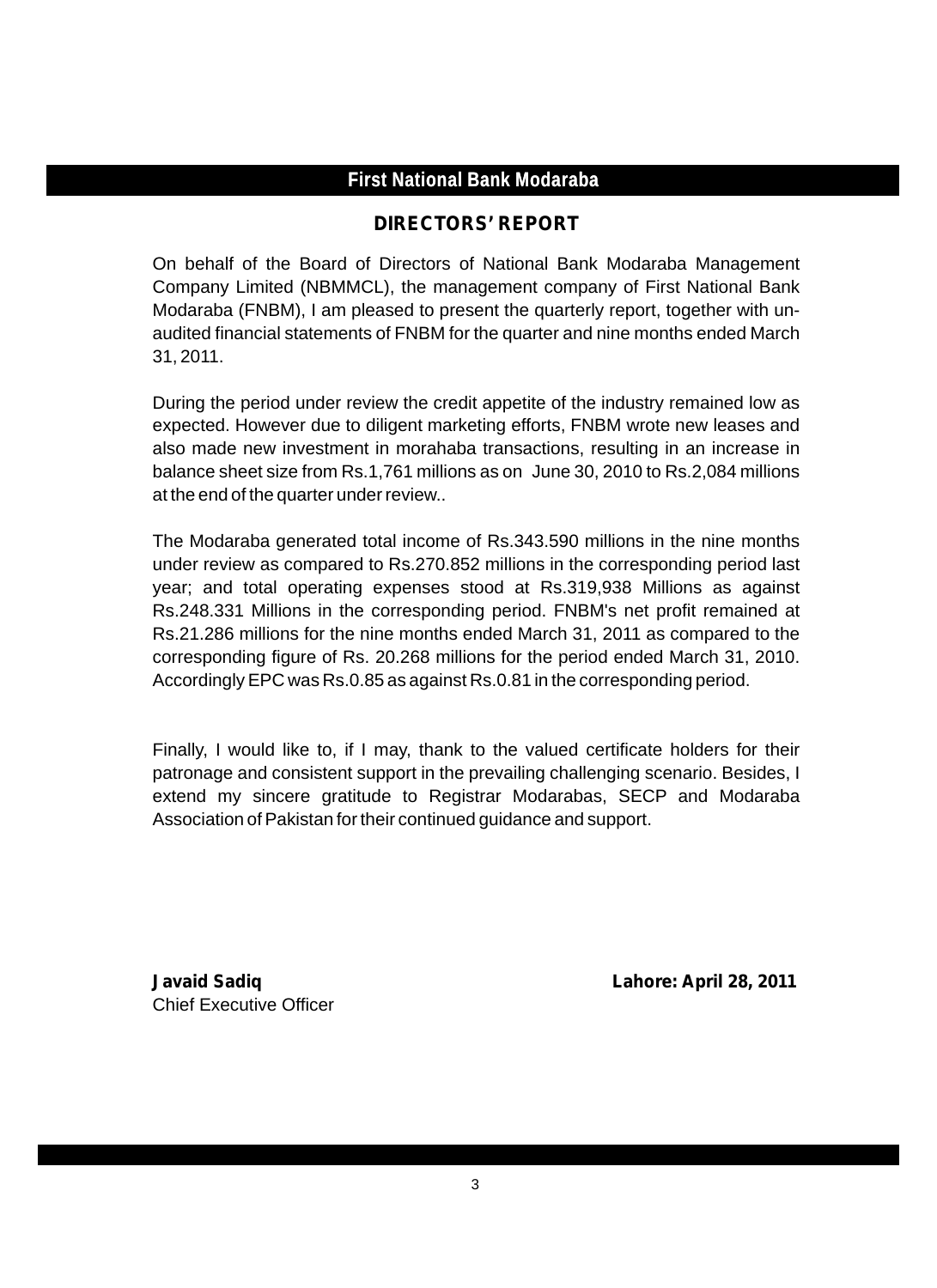# **DIRECTORS' REPORT**

On behalf of the Board of Directors of National Bank Modaraba Management Company Limited (NBMMCL), the management company of First National Bank Modaraba (FNBM), I am pleased to present the quarterly report, together with unaudited financial statements of FNBM for the quarter and nine months ended March 31, 2011.

During the period under review the credit appetite of the industry remained low as expected. However due to diligent marketing efforts, FNBM wrote new leases and also made new investment in morahaba transactions, resulting in an increase in balance sheet size from Rs.1,761 millions as on June 30, 2010 to Rs.2,084 millions at the end of the quarter under review..

The Modaraba generated total income of Rs.343.590 millions in the nine months under review as compared to Rs.270.852 millions in the corresponding period last year; and total operating expenses stood at Rs.319,938 Millions as against Rs.248.331 Millions in the corresponding period. FNBM's net profit remained at Rs.21.286 millions for the nine months ended March 31, 2011 as compared to the corresponding figure of Rs. 20.268 millions for the period ended March 31, 2010. Accordingly EPC was Rs.0.85 as against Rs.0.81 in the corresponding period.

Finally, I would like to, if I may, thank to the valued certificate holders for their patronage and consistent support in the prevailing challenging scenario. Besides, I extend my sincere gratitude to Registrar Modarabas, SECP and Modaraba Association of Pakistan for their continued guidance and support.

Chief Executive Officer

**Javaid Sadiq Lahore: April 28, 2011**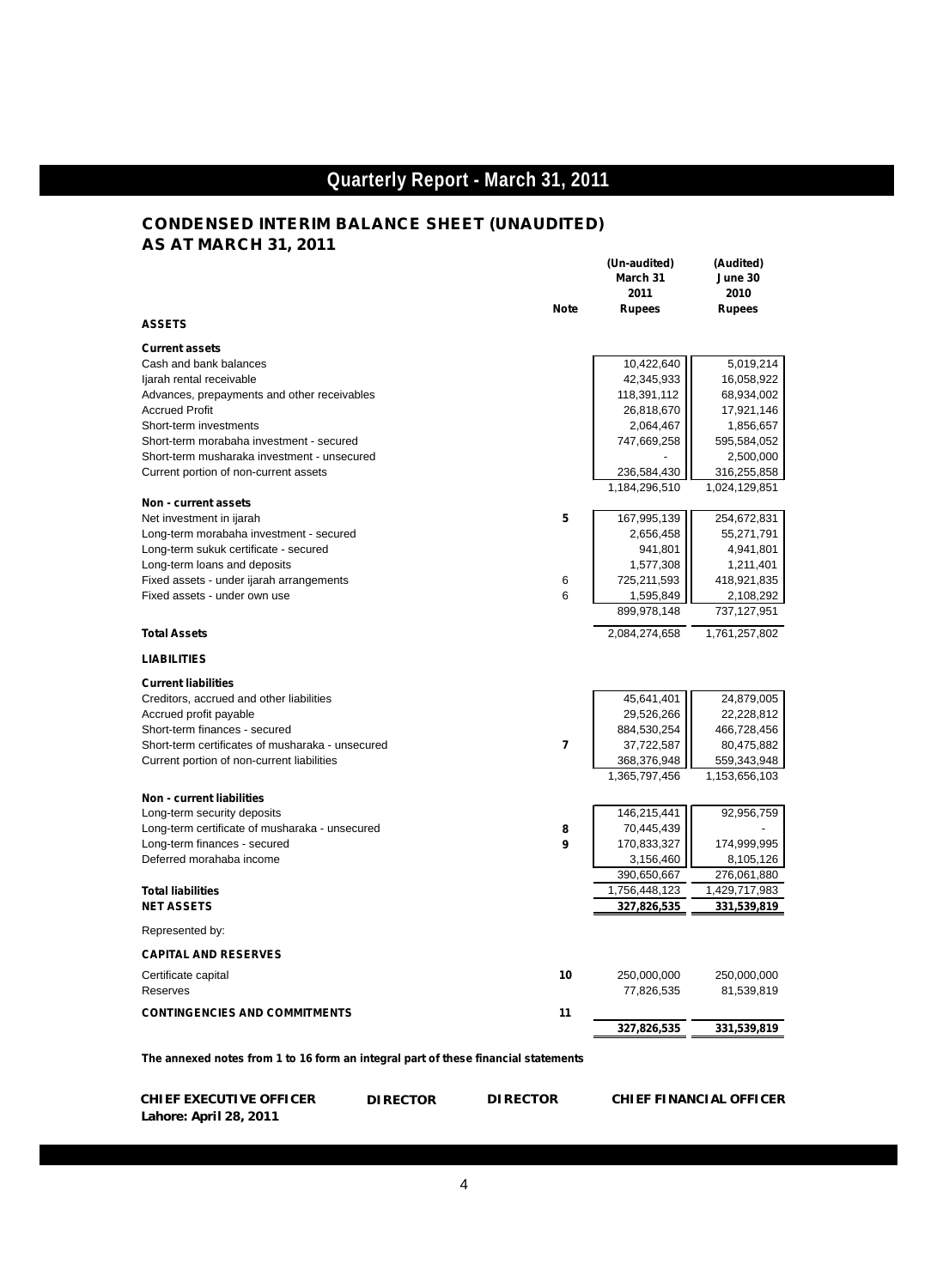### **CONDENSED INTERIM BALANCE SHEET (UNAUDITED) AS AT MARCH 31, 2011**

|                                                                                    | (Un-audited)<br>March 31<br>2011 | (Audited)<br>June 30<br>2010 |
|------------------------------------------------------------------------------------|----------------------------------|------------------------------|
| <b>Note</b><br><b>ASSETS</b>                                                       | <b>Rupees</b>                    | <b>Rupees</b>                |
| <b>Current assets</b>                                                              |                                  |                              |
| Cash and bank balances                                                             | 10,422,640                       | 5,019,214                    |
| ljarah rental receivable                                                           | 42,345,933                       | 16,058,922                   |
| Advances, prepayments and other receivables                                        | 118,391,112                      | 68,934,002                   |
| <b>Accrued Profit</b>                                                              | 26,818,670                       | 17,921,146                   |
| Short-term investments                                                             | 2,064,467                        | 1,856,657                    |
| Short-term morabaha investment - secured                                           | 747,669,258                      | 595,584,052                  |
| Short-term musharaka investment - unsecured                                        |                                  | 2,500,000                    |
| Current portion of non-current assets                                              | 236,584,430                      | 316,255,858                  |
|                                                                                    | 1,184,296,510                    | 1,024,129,851                |
| Non - current assets                                                               |                                  |                              |
| 5<br>Net investment in ijarah                                                      | 167,995,139                      | 254,672,831                  |
| Long-term morabaha investment - secured                                            | 2,656,458                        | 55,271,791                   |
| Long-term sukuk certificate - secured                                              | 941,801                          | 4,941,801                    |
| Long-term loans and deposits                                                       | 1,577,308                        | 1,211,401                    |
| Fixed assets - under ijarah arrangements<br>6                                      | 725,211,593                      | 418,921,835                  |
| Fixed assets - under own use<br>6                                                  | 1,595,849                        | 2,108,292                    |
|                                                                                    | 899,978,148                      | 737,127,951                  |
| <b>Total Assets</b>                                                                | 2,084,274,658                    | 1,761,257,802                |
| <b>LIABILITIES</b>                                                                 |                                  |                              |
| <b>Current liabilities</b>                                                         |                                  |                              |
| Creditors, accrued and other liabilities                                           | 45,641,401                       | 24,879,005                   |
| Accrued profit payable                                                             | 29,526,266                       | 22,228,812                   |
| Short-term finances - secured                                                      | 884,530,254                      | 466,728,456                  |
| 7<br>Short-term certificates of musharaka - unsecured                              | 37,722,587                       | 80,475,882                   |
| Current portion of non-current liabilities                                         | 368,376,948                      | 559,343,948                  |
|                                                                                    | 1,365,797,456                    | 1,153,656,103                |
| <b>Non - current liabilities</b>                                                   |                                  |                              |
| Long-term security deposits                                                        | 146,215,441                      | 92,956,759                   |
| Long-term certificate of musharaka - unsecured<br>8                                | 70,445,439                       |                              |
| 9<br>Long-term finances - secured                                                  | 170,833,327                      | 174,999,995                  |
| Deferred morahaba income                                                           | 3,156,460                        | 8,105,126                    |
|                                                                                    | 390,650,667                      | 276,061,880                  |
| <b>Total liabilities</b>                                                           | 1,756,448,123                    | 1,429,717,983                |
| <b>NET ASSETS</b>                                                                  | 327,826,535                      | 331,539,819                  |
| Represented by:                                                                    |                                  |                              |
| <b>CAPITAL AND RESERVES</b>                                                        |                                  |                              |
| 10<br>Certificate capital                                                          | 250,000,000                      | 250,000,000                  |
| Reserves                                                                           | 77,826,535                       | 81,539,819                   |
| <b>CONTINGENCIES AND COMMITMENTS</b><br>11                                         |                                  |                              |
|                                                                                    | 327,826,535                      | 331,539,819                  |
| The annexed notes from 1 to 16 form an integral part of these financial statements |                                  |                              |

 **CHIEF EXECUTIVE OFFICER DIRECTOR DIRECTOR CHIEF FINANCIAL OFFICER Lahore: April 28, 2011**

l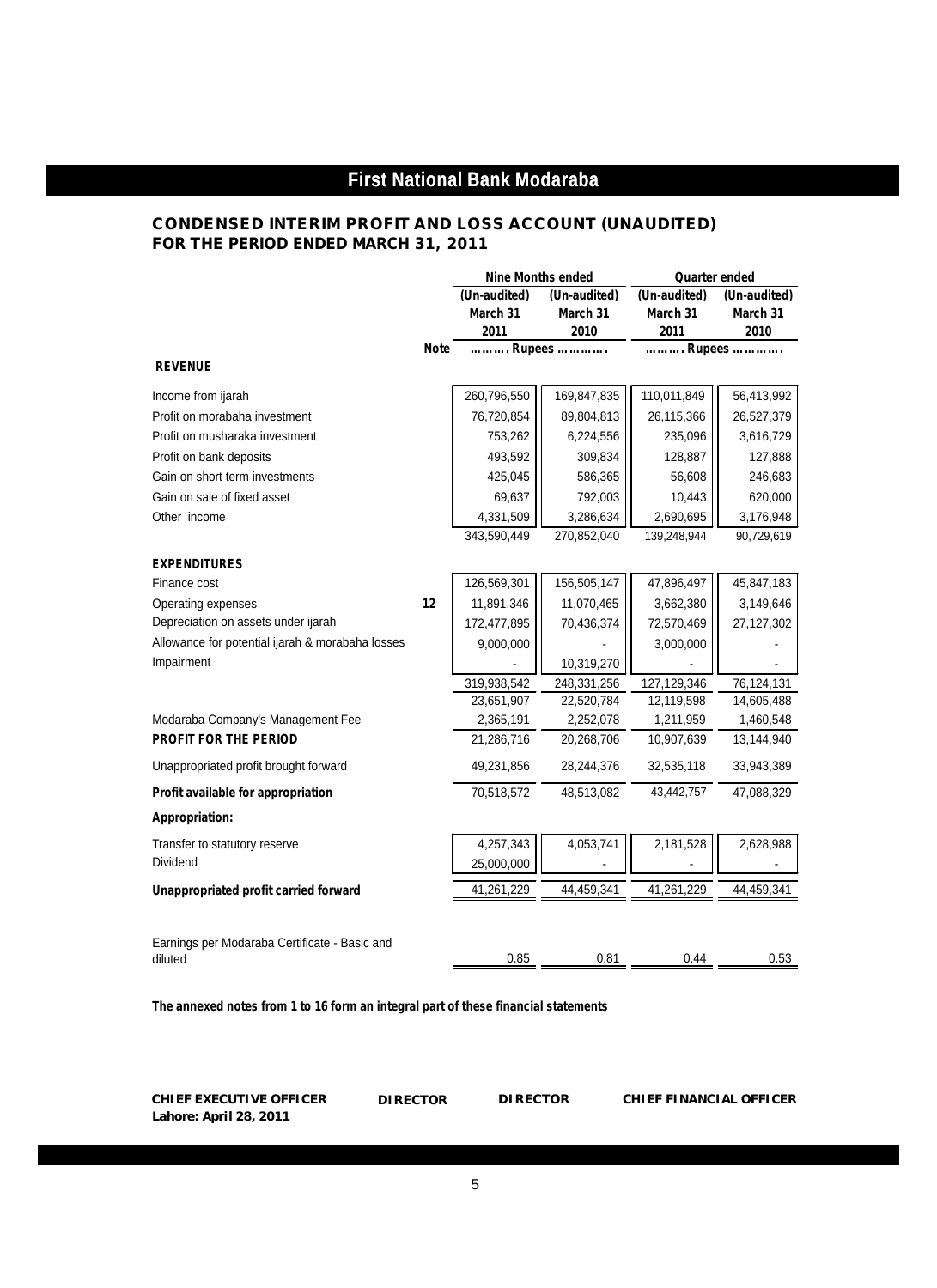## **CONDENSED INTERIM PROFIT AND LOSS ACCOUNT (UNAUDITED)**

**FOR THE PERIOD ENDED MARCH 31, 2011**

|                                                  |             | <b>Nine Months ended</b> |              | <b>Quarter ended</b> |              |
|--------------------------------------------------|-------------|--------------------------|--------------|----------------------|--------------|
|                                                  |             | (Un-audited)             | (Un-audited) | (Un-audited)         | (Un-audited) |
|                                                  |             | March 31                 | March 31     | March 31             | March 31     |
|                                                  |             | 2011                     | 2010         | 2011                 | 2010         |
|                                                  | <b>Note</b> |                          | Rupees       |                      | Rupees       |
| <b>REVENUE</b>                                   |             |                          |              |                      |              |
| Income from ijarah                               |             | 260,796,550              | 169,847,835  | 110,011,849          | 56,413,992   |
| Profit on morabaha investment                    |             | 76,720,854               | 89,804,813   | 26,115,366           | 26,527,379   |
| Profit on musharaka investment                   |             | 753,262                  | 6,224,556    | 235,096              | 3,616,729    |
| Profit on bank deposits                          |             | 493,592                  | 309,834      | 128,887              | 127,888      |
| Gain on short term investments                   |             | 425,045                  | 586,365      | 56,608               | 246,683      |
| Gain on sale of fixed asset                      |             | 69,637                   | 792,003      | 10,443               | 620,000      |
| Other income                                     |             | 4,331,509                | 3,286,634    | 2,690,695            | 3,176,948    |
|                                                  |             | 343,590,449              | 270,852,040  | 139,248,944          | 90,729,619   |
| <b>EXPENDITURES</b>                              |             |                          |              |                      |              |
| Finance cost                                     |             | 126,569,301              | 156,505,147  | 47,896,497           | 45,847,183   |
| Operating expenses                               | 12          | 11,891,346               | 11,070,465   | 3,662,380            | 3,149,646    |
| Depreciation on assets under ijarah              |             | 172,477,895              | 70,436,374   | 72,570,469           | 27,127,302   |
| Allowance for potential ijarah & morabaha losses |             | 9,000,000                |              | 3,000,000            |              |
| Impairment                                       |             |                          | 10,319,270   |                      |              |
|                                                  |             | 319,938,542              | 248,331,256  | 127,129,346          | 76,124,131   |
|                                                  |             | 23,651,907               | 22,520,784   | 12,119,598           | 14,605,488   |
| Modaraba Company's Management Fee                |             | 2,365,191                | 2,252,078    | 1,211,959            | 1,460,548    |
| <b>PROFIT FOR THE PERIOD</b>                     |             | 21,286,716               | 20,268,706   | 10,907,639           | 13,144,940   |
| Unappropriated profit brought forward            |             | 49,231,856               | 28,244,376   | 32,535,118           | 33,943,389   |
| Profit available for appropriation               |             | 70,518,572               | 48,513,082   | 43,442,757           | 47,088,329   |
| Appropriation:                                   |             |                          |              |                      |              |
| Transfer to statutory reserve                    |             | 4,257,343                | 4,053,741    | 2,181,528            | 2,628,988    |
| Dividend                                         |             | 25,000,000               |              |                      |              |
| Unappropriated profit carried forward            |             | 41,261,229               | 44,459,341   | 41,261,229           | 44,459,341   |
| Earnings per Modaraba Certificate - Basic and    |             |                          |              |                      |              |
| diluted                                          |             | 0.85                     | 0.81         | 0.44                 | 0.53         |

*The annexed notes from 1 to 16 form an integral part of these financial statements*

**CHIEF EXECUTIVE OFFICER DIRECTOR DIRECTOR CHIEF FINANCIAL OFFICER Lahore: April 28, 2011**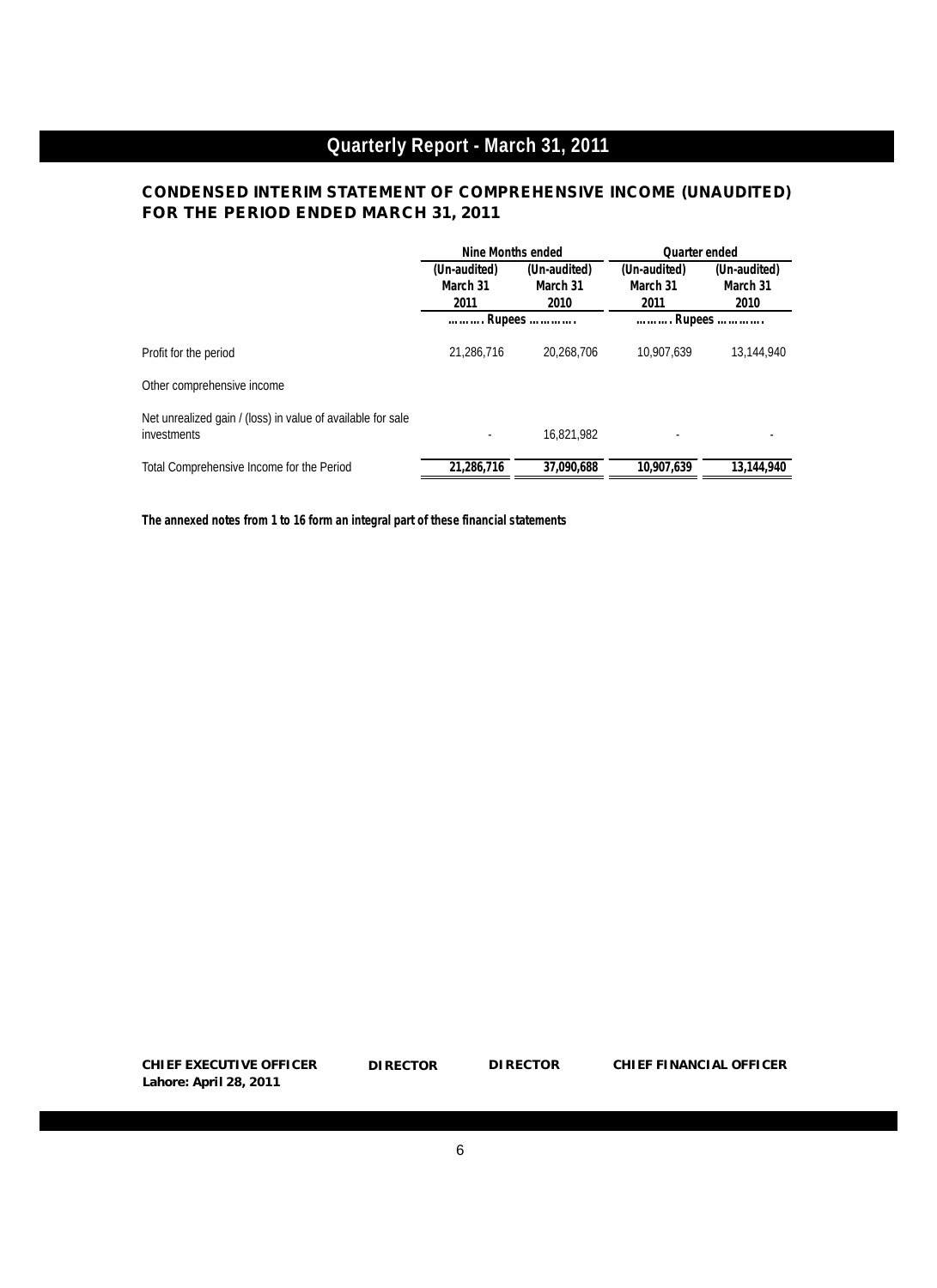# **CONDENSED INTERIM STATEMENT OF COMPREHENSIVE INCOME (UNAUDITED) FOR THE PERIOD ENDED MARCH 31, 2011**

|                                                                            | Nine Months ended                |                                  | <b>Quarter ended</b>             |                                  |  |
|----------------------------------------------------------------------------|----------------------------------|----------------------------------|----------------------------------|----------------------------------|--|
|                                                                            | (Un-audited)<br>March 31<br>2011 | (Un-audited)<br>March 31<br>2010 | (Un-audited)<br>March 31<br>2011 | (Un-audited)<br>March 31<br>2010 |  |
|                                                                            |                                  | Rupees                           | Rupees                           |                                  |  |
| Profit for the period                                                      | 21,286,716                       | 20.268.706                       | 10.907.639                       | 13,144,940                       |  |
| Other comprehensive income                                                 |                                  |                                  |                                  |                                  |  |
| Net unrealized gain / (loss) in value of available for sale<br>investments |                                  | 16.821.982                       |                                  |                                  |  |
| Total Comprehensive Income for the Period                                  | 21,286,716                       | 37,090,688                       | 10,907,639                       | 13.144.940                       |  |

*The annexed notes from 1 to 16 form an integral part of these financial statements*

**CHIEF EXECUTIVE OFFICER Lahore: April 28, 2011**

**DIRECTOR DIRECTOR CHIEF FINANCIAL OFFICER**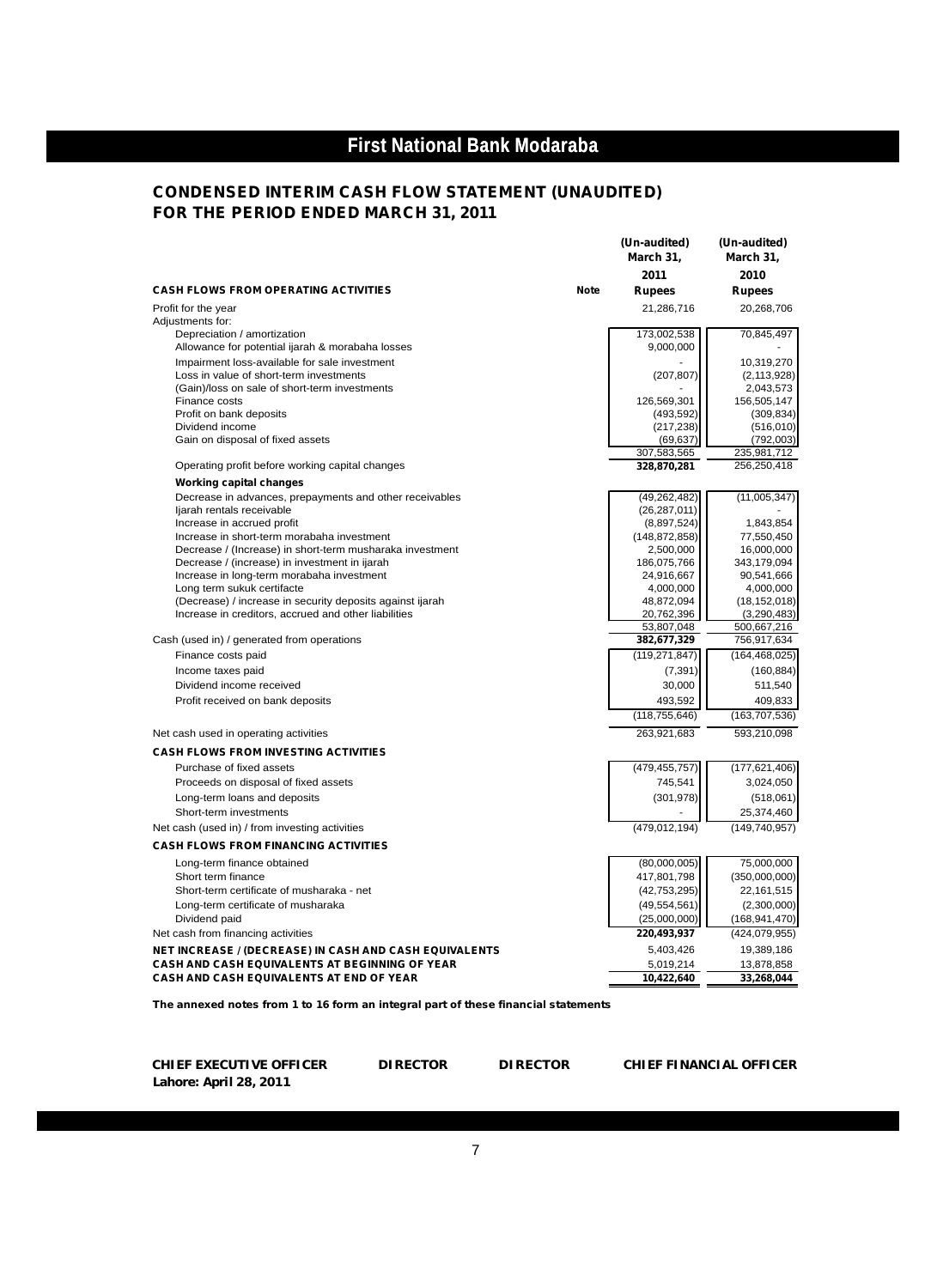## **CONDENSED INTERIM CASH FLOW STATEMENT (UNAUDITED) FOR THE PERIOD ENDED MARCH 31, 2011**

|                                                                         |             | March 31,                 | March 31,                 |
|-------------------------------------------------------------------------|-------------|---------------------------|---------------------------|
|                                                                         |             | 2011                      | 2010                      |
| <b>CASH FLOWS FROM OPERATING ACTIVITIES</b>                             | <b>Note</b> | <b>Rupees</b>             | <b>Rupees</b>             |
| Profit for the year                                                     |             | 21,286,716                | 20,268,706                |
| Adjustments for:                                                        |             |                           |                           |
| Depreciation / amortization                                             |             | 173,002,538               | 70,845,497                |
| Allowance for potential ijarah & morabaha losses                        |             | 9,000,000                 |                           |
| Impairment loss-available for sale investment                           |             |                           | 10,319,270                |
| Loss in value of short-term investments                                 |             | (207, 807)                | (2, 113, 928)             |
| (Gain)/loss on sale of short-term investments                           |             |                           | 2,043,573                 |
| Finance costs                                                           |             | 126,569,301               | 156,505,147               |
| Profit on bank deposits<br>Dividend income                              |             | (493, 592)<br>(217, 238)  | (309, 834)<br>(516, 010)  |
| Gain on disposal of fixed assets                                        |             | (69, 637)                 | (792,003)                 |
|                                                                         |             | 307,583,565               | 235,981,712               |
| Operating profit before working capital changes                         |             | 328,870,281               | 256,250,418               |
| <b>Working capital changes</b>                                          |             |                           |                           |
| Decrease in advances, prepayments and other receivables                 |             | (49, 262, 482)            | (11,005,347)              |
| ljarah rentals receivable                                               |             | (26, 287, 011)            |                           |
| Increase in accrued profit                                              |             | (8,897,524)               | 1,843,854                 |
| Increase in short-term morabaha investment                              |             | (148, 872, 858)           | 77,550,450                |
| Decrease / (Increase) in short-term musharaka investment                |             | 2,500,000                 | 16,000,000                |
| Decrease / (increase) in investment in ijarah                           |             | 186,075,766<br>24,916,667 | 343,179,094<br>90,541,666 |
| Increase in long-term morabaha investment<br>Long term sukuk certifacte |             | 4,000,000                 | 4,000,000                 |
| (Decrease) / increase in security deposits against ijarah               |             | 48,872,094                | (18, 152, 018)            |
| Increase in creditors, accrued and other liabilities                    |             | 20,762,396                | (3,290,483)               |
|                                                                         |             | 53,807,048                | 500,667,216               |
| Cash (used in) / generated from operations                              |             | 382,677,329               | 756,917,634               |
| Finance costs paid                                                      |             | (119, 271, 847)           | (164, 468, 025)           |
| Income taxes paid                                                       |             | (7, 391)                  | (160, 884)                |
| Dividend income received                                                |             | 30,000                    | 511,540                   |
| Profit received on bank deposits                                        |             | 493,592                   | 409,833                   |
|                                                                         |             | (118, 755, 646)           | (163, 707, 536)           |
| Net cash used in operating activities                                   |             | 263,921,683               | 593,210,098               |
| <b>CASH FLOWS FROM INVESTING ACTIVITIES</b>                             |             |                           |                           |
| Purchase of fixed assets                                                |             | (479,455,757)             | (177, 621, 406)           |
| Proceeds on disposal of fixed assets                                    |             | 745.541                   | 3,024,050                 |
|                                                                         |             | (301, 978)                |                           |
| Long-term loans and deposits                                            |             |                           | (518,061)                 |
| Short-term investments                                                  |             |                           | 25,374,460                |
| Net cash (used in) / from investing activities                          |             | (479, 012, 194)           | (149, 740, 957)           |
| <b>CASH FLOWS FROM FINANCING ACTIVITIES</b>                             |             |                           |                           |
| Long-term finance obtained                                              |             | (80,000,005)              | 75,000,000                |
| Short term finance                                                      |             | 417,801,798               | (350,000,000)             |
| Short-term certificate of musharaka - net                               |             | (42, 753, 295)            | 22,161,515                |
| Long-term certificate of musharaka                                      |             | (49, 554, 561)            | (2,300,000)               |
| Dividend paid                                                           |             | (25,000,000)              | (168, 941, 470)           |
| Net cash from financing activities                                      |             | 220,493,937               | (424,079,955)             |
| NET INCREASE / (DECREASE) IN CASH AND CASH EQUIVALENTS                  |             | 5,403,426                 | 19,389,186                |
| <b>CASH AND CASH EQUIVALENTS AT BEGINNING OF YEAR</b>                   |             | 5,019,214                 | 13,878,858                |
| CASH AND CASH EQUIVALENTS AT END OF YEAR                                |             | 10,422,640                | 33,268,044                |

*The annexed notes from 1 to 16 form an integral part of these financial statements*

**CHIEF EXECUTIVE OFFICER Lahore: April 28, 2011**

DIRECTOR

**DIRECTOR DIRECTOR CHIEF FINANCIAL OFFICER**

**(Un-audited) (Un-audited)**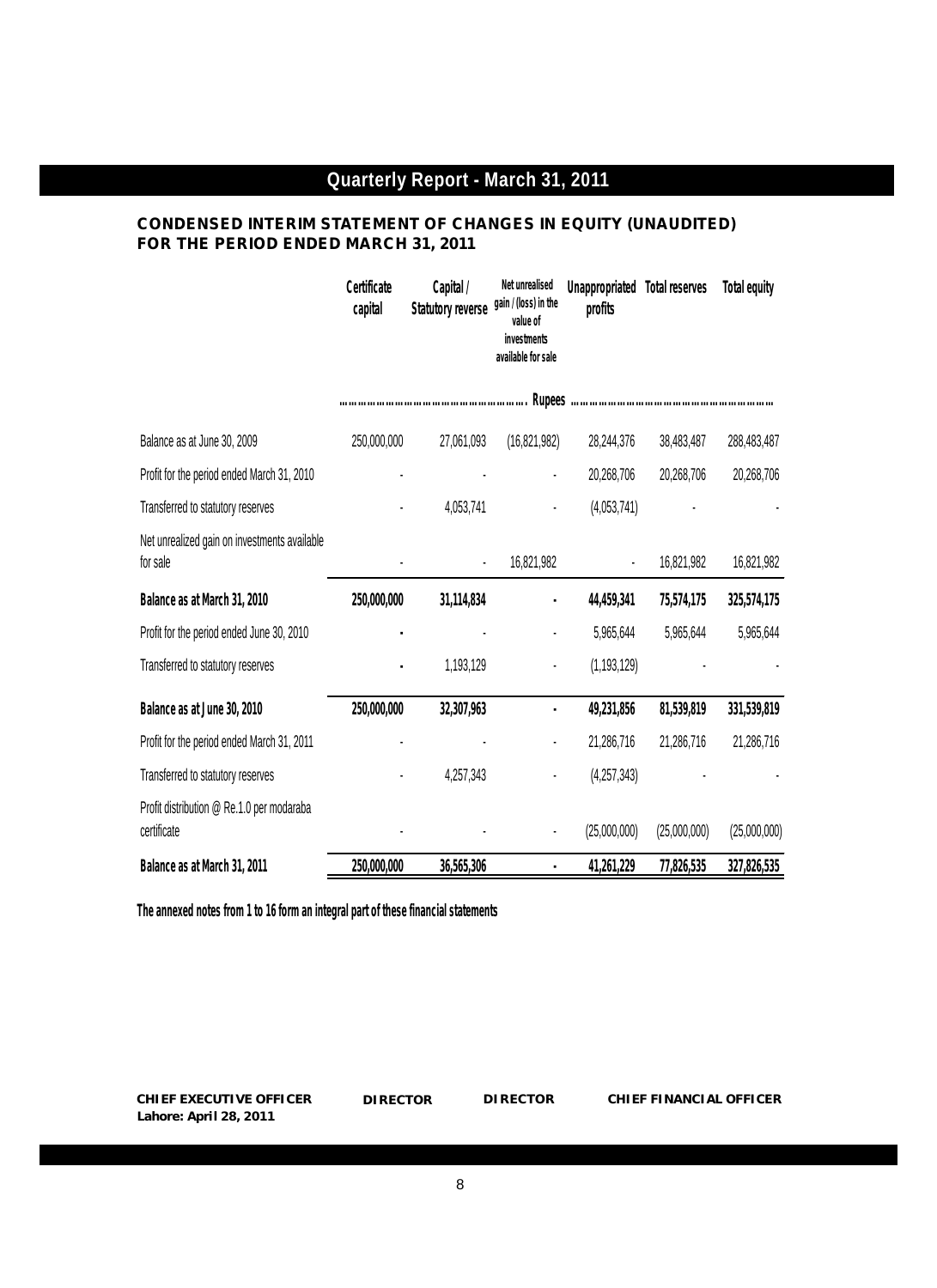## **CONDENSED INTERIM STATEMENT OF CHANGES IN EQUITY (UNAUDITED) FOR THE PERIOD ENDED MARCH 31, 2011**

|                                                          | Certificate<br>capital | Capital /<br><b>Statutory reverse</b> | Net unrealised<br>gain / (loss) in the<br>value of<br>investments<br>available for sale | <b>Unappropriated</b><br>profits | <b>Total reserves</b> | <b>Total equity</b> |
|----------------------------------------------------------|------------------------|---------------------------------------|-----------------------------------------------------------------------------------------|----------------------------------|-----------------------|---------------------|
|                                                          |                        |                                       |                                                                                         |                                  |                       |                     |
| Balance as at June 30, 2009                              | 250,000,000            | 27,061,093                            | (16, 821, 982)                                                                          | 28,244,376                       | 38,483,487            | 288,483,487         |
| Profit for the period ended March 31, 2010               |                        |                                       |                                                                                         | 20,268,706                       | 20,268,706            | 20,268,706          |
| Transferred to statutory reserves                        |                        | 4,053,741                             |                                                                                         | (4,053,741)                      |                       |                     |
| Net unrealized gain on investments available<br>for sale |                        |                                       | 16,821,982                                                                              |                                  | 16,821,982            | 16,821,982          |
| Balance as at March 31, 2010                             | 250,000,000            | 31,114,834                            |                                                                                         | 44,459,341                       | 75,574,175            | 325,574,175         |
| Profit for the period ended June 30, 2010                | ٠                      |                                       |                                                                                         | 5,965,644                        | 5,965,644             | 5,965,644           |
| Transferred to statutory reserves                        |                        | 1,193,129                             |                                                                                         | (1, 193, 129)                    |                       |                     |
| Balance as at June 30, 2010                              | 250,000,000            | 32,307,963                            |                                                                                         | 49,231,856                       | 81,539,819            | 331,539,819         |
| Profit for the period ended March 31, 2011               |                        |                                       |                                                                                         | 21,286,716                       | 21,286,716            | 21,286,716          |
| Transferred to statutory reserves                        |                        | 4,257,343                             |                                                                                         | (4,257,343)                      |                       |                     |
| Profit distribution @ Re.1.0 per modaraba<br>certificate |                        |                                       |                                                                                         | (25,000,000)                     | (25,000,000)          | (25,000,000)        |
| Balance as at March 31, 2011                             | 250,000,000            | 36,565,306                            |                                                                                         | 41,261,229                       | 77,826,535            | 327,826,535         |

*The annexed notes from 1 to 16 form an integral part of these financial statements*

**CHIEF EXECUTIVE OFFICER DIRECTOR DIRECTOR CHIEF FINANCIAL OFFICER Lahore: April 28, 2011**

**DIRECTOR**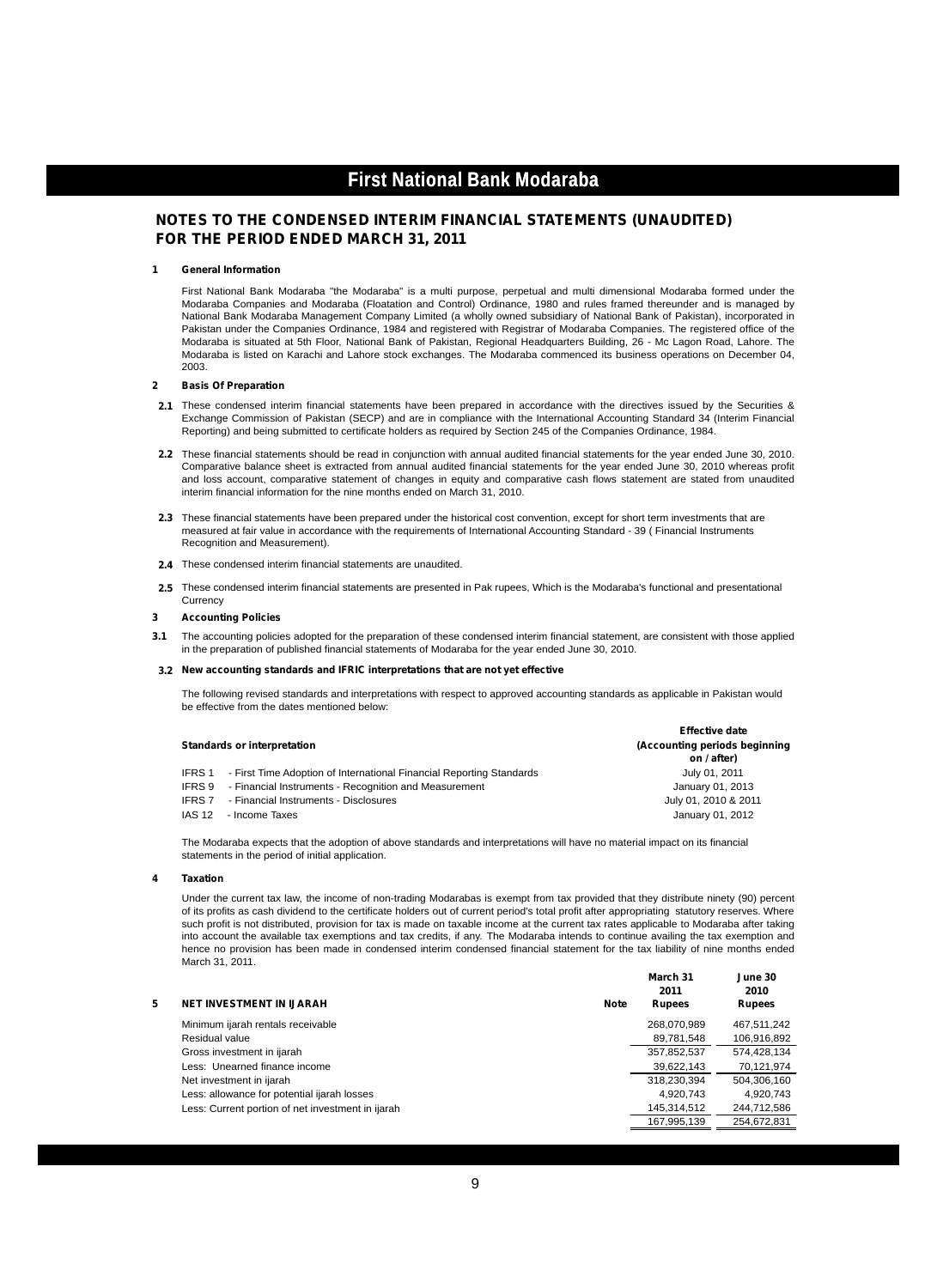#### **NOTES TO THE CONDENSED INTERIM FINANCIAL STATEMENTS (UNAUDITED) FOR THE PERIOD ENDED MARCH 31, 2011**

#### **1 General Information**

First National Bank Modaraba "the Modaraba" is a multi purpose, perpetual and multi dimensional Modaraba formed under the Modaraba Companies and Modaraba (Floatation and Control) Ordinance, 1980 and rules framed thereunder and is managed by National Bank Modaraba Management Company Limited (a wholly owned subsidiary of National Bank of Pakistan), incorporated in Pakistan under the Companies Ordinance, 1984 and registered with Registrar of Modaraba Companies. The registered office of the Modaraba is situated at 5th Floor, National Bank of Pakistan, Regional Headquarters Building, 26 - Mc Lagon Road, Lahore. The Modaraba is listed on Karachi and Lahore stock exchanges. The Modaraba commenced its business operations on December 04, 2003.

#### **2 Basis Of Preparation**

- **2.1** These condensed interim financial statements have been prepared in accordance with the directives issued by the Securities & Exchange Commission of Pakistan (SECP) and are in compliance with the International Accounting Standard 34 (Interim Financial Reporting) and being submitted to certificate holders as required by Section 245 of the Companies Ordinance, 1984.
- **2.2** These financial statements should be read in conjunction with annual audited financial statements for the year ended June 30, 2010. Comparative balance sheet is extracted from annual audited financial statements for the year ended June 30, 2010 whereas profit and loss account, comparative statement of changes in equity and comparative cash flows statement are stated from unaudited interim financial information for the nine months ended on March 31, 2010.
- **2.3** These financial statements have been prepared under the historical cost convention, except for short term investments that are measured at fair value in accordance with the requirements of International Accounting Standard - 39 ( Financial Instruments Recognition and Measurement).
- **2.4** These condensed interim financial statements are unaudited.
- **2.5** These condensed interim financial statements are presented in Pak rupees, Which is the Modaraba's functional and presentational **Currency**

#### **3 Accounting Policies**

**3.1** The accounting policies adopted for the preparation of these condensed interim financial statement, are consistent with those applied in the preparation of published financial statements of Modaraba for the year ended June 30, 2010.

#### **3.2 New accounting standards and IFRIC interpretations that are not yet effective**

The following revised standards and interpretations with respect to approved accounting standards as applicable in Pakistan would be effective from the dates mentioned below:

**Effective date**

|               |                                                                             | <b>Ellective gate</b>                        |
|---------------|-----------------------------------------------------------------------------|----------------------------------------------|
|               | Standards or interpretation                                                 | (Accounting periods beginning<br>on / after) |
|               | IFRS 1 - First Time Adoption of International Financial Reporting Standards | July 01, 2011                                |
|               | IFRS 9 - Financial Instruments - Recognition and Measurement                | January 01, 2013                             |
|               | <b>IFRS 7</b> - Financial Instruments - Disclosures                         | July 01, 2010 & 2011                         |
| <b>IAS 12</b> | - Income Taxes                                                              | January 01, 2012                             |

The Modaraba expects that the adoption of above standards and interpretations will have no material impact on its financial statements in the period of initial application.

#### **4 Taxation**

Under the current tax law, the income of non-trading Modarabas is exempt from tax provided that they distribute ninety (90) percent of its profits as cash dividend to the certificate holders out of current period's total profit after appropriating statutory reserves. Where such profit is not distributed, provision for tax is made on taxable income at the current tax rates applicable to Modaraba after taking into account the available tax exemptions and tax credits, if any. The Modaraba intends to continue availing the tax exemption and hence no provision has been made in condensed interim condensed financial statement for the tax liability of nine months ended March 31, 2011.

| <b>NET INVESTMENT IN IJARAH</b>                   | Note | March 31<br>2011<br><b>Rupees</b> | June 30<br>2010<br><b>Rupees</b> |
|---------------------------------------------------|------|-----------------------------------|----------------------------------|
| Minimum ijarah rentals receivable                 |      | 268,070,989                       | 467.511.242                      |
| Residual value                                    |      | 89,781,548                        | 106,916,892                      |
| Gross investment in ijarah                        |      | 357,852,537                       | 574.428.134                      |
| Less: Unearned finance income                     |      | 39.622.143                        | 70,121,974                       |
| Net investment in ijarah                          |      | 318,230,394                       | 504,306,160                      |
| Less: allowance for potential ijarah losses       |      | 4.920.743                         | 4.920.743                        |
| Less: Current portion of net investment in ijarah |      | 145.314.512                       | 244,712,586                      |
|                                                   |      | 167.995.139                       | 254.672.831                      |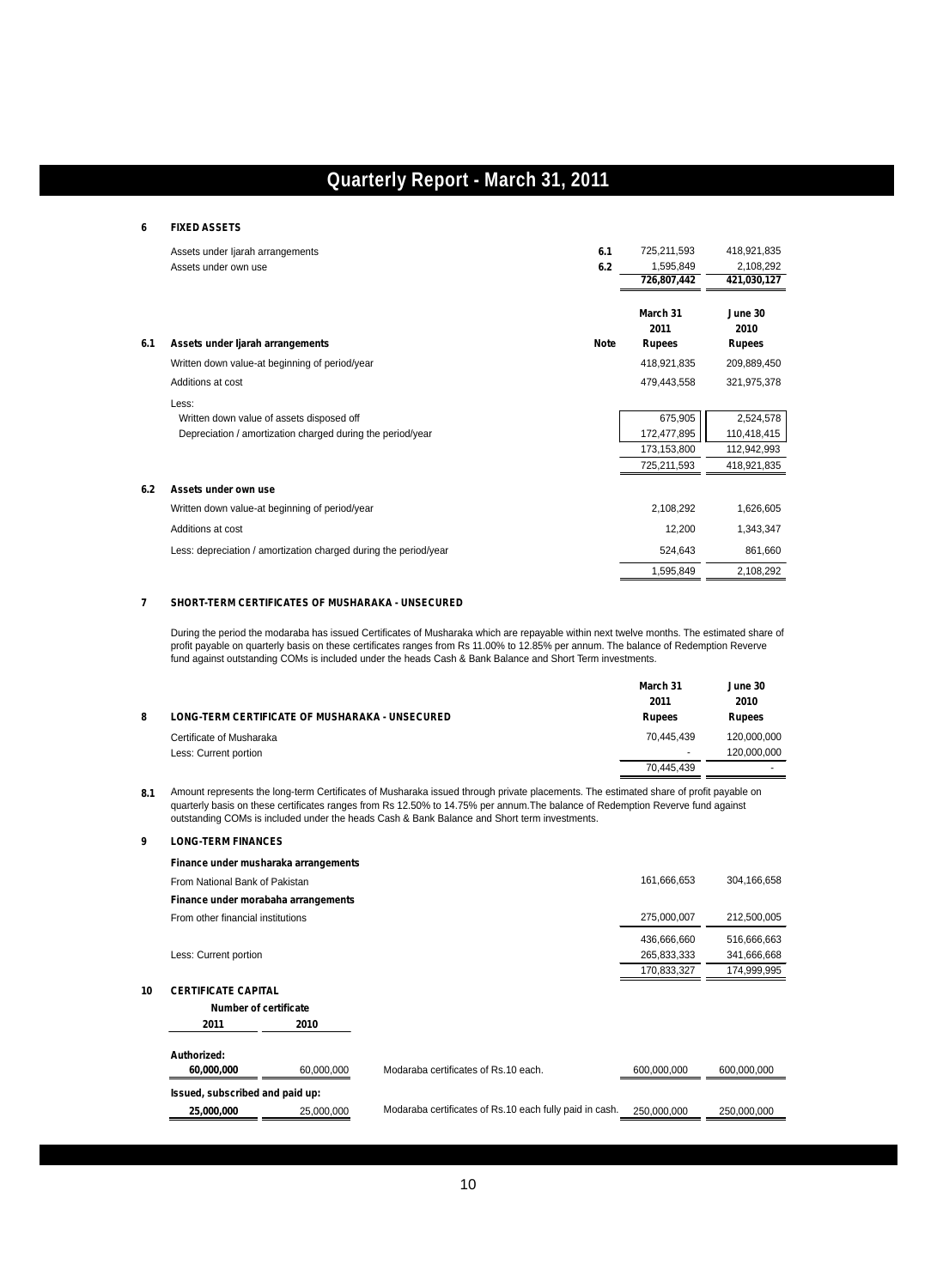#### **6 FIXED ASSETS**

|     |                                                                  | 6.1         | 725,211,593    | 418,921,835           |
|-----|------------------------------------------------------------------|-------------|----------------|-----------------------|
|     | Assets under ljarah arrangements                                 |             |                |                       |
|     | Assets under own use                                             | 6.2         | 1,595,849      | 2,108,292             |
|     |                                                                  |             | 726,807,442    | 421,030,127           |
|     |                                                                  |             | March 31       | June 30               |
| 6.1 | Assets under Ijarah arrangements                                 | <b>Note</b> | 2011<br>Rupees | 2010<br><b>Rupees</b> |
|     | Written down value-at beginning of period/year                   |             | 418,921,835    | 209,889,450           |
|     | Additions at cost                                                |             | 479,443,558    | 321,975,378           |
|     | Less:                                                            |             |                |                       |
|     | Written down value of assets disposed off                        |             | 675,905        | 2,524,578             |
|     | Depreciation / amortization charged during the period/year       |             | 172,477,895    | 110,418,415           |
|     |                                                                  |             | 173,153,800    | 112,942,993           |
|     |                                                                  |             | 725,211,593    | 418,921,835           |
| 6.2 | Assets under own use                                             |             |                |                       |
|     | Written down value-at beginning of period/year                   |             | 2,108,292      | 1,626,605             |
|     | Additions at cost                                                |             | 12,200         | 1,343,347             |
|     | Less: depreciation / amortization charged during the period/year |             | 524,643        | 861,660               |
|     |                                                                  |             | 1,595,849      | 2,108,292             |

#### **7 SHORT-TERM CERTIFICATES OF MUSHARAKA - UNSECURED**

During the period the modaraba has issued Certificates of Musharaka which are repayable within next twelve months. The estimated share of profit payable on quarterly basis on these certificates ranges from Rs 11.00% to 12.85% per annum. The balance of Redemption Reverve fund against outstanding COMs is included under the heads Cash & Bank Balance and Short Term investments.

|   |                                                       | March 31<br>2011         | June 30<br>2010 |
|---|-------------------------------------------------------|--------------------------|-----------------|
| 8 | <b>LONG-TERM CERTIFICATE OF MUSHARAKA - UNSECURED</b> | <b>Rupees</b>            | <b>Rupees</b>   |
|   | Certificate of Musharaka                              | 70.445.439               | 120,000,000     |
|   | Less: Current portion                                 | $\overline{\phantom{a}}$ | 120.000.000     |
|   |                                                       | 70.445.439               |                 |

**8.1** Amount represents the long-term Certificates of Musharaka issued through private placements. The estimated share of profit payable on quarterly basis on these certificates ranges from Rs 12.50% to 14.75% per annum.The balance of Redemption Reverve fund against outstanding COMs is included under the heads Cash & Bank Balance and Short term investments.

#### **9 LONG-TERM FINANCES**

|    | Finance under musharaka arrangements |            |                                                         |             |             |
|----|--------------------------------------|------------|---------------------------------------------------------|-------------|-------------|
|    | From National Bank of Pakistan       |            |                                                         | 161,666,653 | 304,166,658 |
|    | Finance under morabaha arrangements  |            |                                                         |             |             |
|    | From other financial institutions    |            |                                                         | 275,000,007 | 212,500,005 |
|    |                                      |            |                                                         | 436,666,660 | 516,666,663 |
|    | Less: Current portion                |            |                                                         | 265,833,333 | 341,666,668 |
|    |                                      |            |                                                         | 170.833.327 | 174,999,995 |
| 10 | <b>CERTIFICATE CAPITAL</b>           |            |                                                         |             |             |
|    | <b>Number of certificate</b>         |            |                                                         |             |             |
|    | 2011                                 | 2010       |                                                         |             |             |
|    | Authorized:                          |            |                                                         |             |             |
|    | 60,000,000                           | 60,000,000 | Modaraba certificates of Rs.10 each.                    | 600,000,000 | 600.000.000 |
|    | Issued, subscribed and paid up:      |            |                                                         |             |             |
|    | 25.000.000                           | 25.000.000 | Modaraba certificates of Rs.10 each fully paid in cash. | 250.000.000 | 250.000.000 |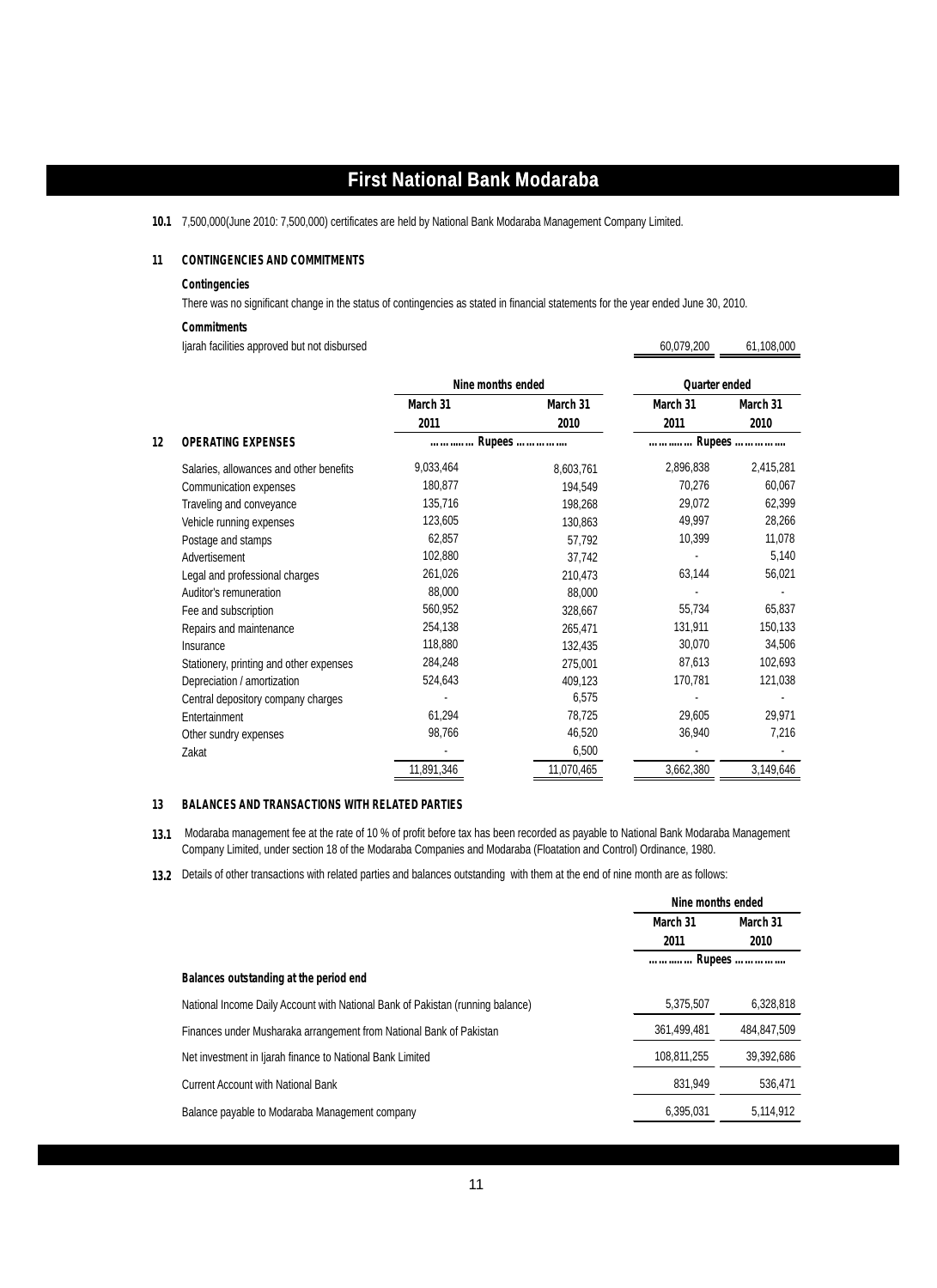**10.1** 7,500,000(June 2010: 7,500,000) certificates are held by National Bank Modaraba Management Company Limited.

#### **11 CONTINGENCIES AND COMMITMENTS**

#### **Contingencies**

There was no significant change in the status of contingencies as stated in financial statements for the year ended June 30, 2010.

60,079,200

#### **Commitments**

Ijarah facilities approved but not disbursed 60,079,200 61,108,000

|    |                                         | Nine months ended |            | Quarter ended |           |
|----|-----------------------------------------|-------------------|------------|---------------|-----------|
|    |                                         | March 31          | March 31   | March 31      | March 31  |
|    |                                         | 2011              | 2010       | 2011          | 2010      |
| 12 | <b>OPERATING EXPENSES</b>               | Rupees            |            | Rupees        |           |
|    | Salaries, allowances and other benefits | 9,033,464         | 8,603,761  | 2,896,838     | 2,415,281 |
|    | Communication expenses                  | 180,877           | 194,549    | 70,276        | 60,067    |
|    | Traveling and conveyance                | 135,716           | 198,268    | 29,072        | 62,399    |
|    | Vehicle running expenses                | 123,605           | 130,863    | 49,997        | 28,266    |
|    | Postage and stamps                      | 62,857            | 57,792     | 10,399        | 11,078    |
|    | Advertisement                           | 102,880           | 37,742     |               | 5,140     |
|    | Legal and professional charges          | 261,026           | 210,473    | 63,144        | 56,021    |
|    | Auditor's remuneration                  | 88,000            | 88,000     |               |           |
|    | Fee and subscription                    | 560,952           | 328,667    | 55,734        | 65,837    |
|    | Repairs and maintenance                 | 254,138           | 265,471    | 131,911       | 150,133   |
|    | Insurance                               | 118,880           | 132.435    | 30,070        | 34,506    |
|    | Stationery, printing and other expenses | 284,248           | 275,001    | 87,613        | 102,693   |
|    | Depreciation / amortization             | 524,643           | 409,123    | 170,781       | 121,038   |
|    | Central depository company charges      |                   | 6,575      |               |           |
|    | Entertainment                           | 61,294            | 78,725     | 29,605        | 29,971    |
|    | Other sundry expenses                   | 98,766            | 46,520     | 36,940        | 7,216     |
|    | Zakat                                   |                   | 6,500      |               |           |
|    |                                         | 11,891,346        | 11,070,465 | 3,662,380     | 3,149,646 |

#### **13 BALANCES AND TRANSACTIONS WITH RELATED PARTIES**

**13.1** Modaraba management fee at the rate of 10 % of profit before tax has been recorded as payable to National Bank Modaraba Management Company Limited, under section 18 of the Modaraba Companies and Modaraba (Floatation and Control) Ordinance, 1980.

**13.2** Details of other transactions with related parties and balances outstanding with them at the end of nine month are as follows:

|                                                                                | Nine months ended |             |
|--------------------------------------------------------------------------------|-------------------|-------------|
|                                                                                | March 31          | March 31    |
|                                                                                | 2011              | 2010        |
|                                                                                |                   |             |
| Balances outstanding at the period end                                         |                   |             |
| National Income Daily Account with National Bank of Pakistan (running balance) | 5,375,507         | 6,328,818   |
| Finances under Musharaka arrangement from National Bank of Pakistan            | 361,499,481       | 484,847,509 |
| Net investment in Ijarah finance to National Bank Limited                      | 108,811,255       | 39,392,686  |
| <b>Current Account with National Bank</b>                                      | 831.949           | 536,471     |
| Balance payable to Modaraba Management company                                 | 6,395,031         | 5,114,912   |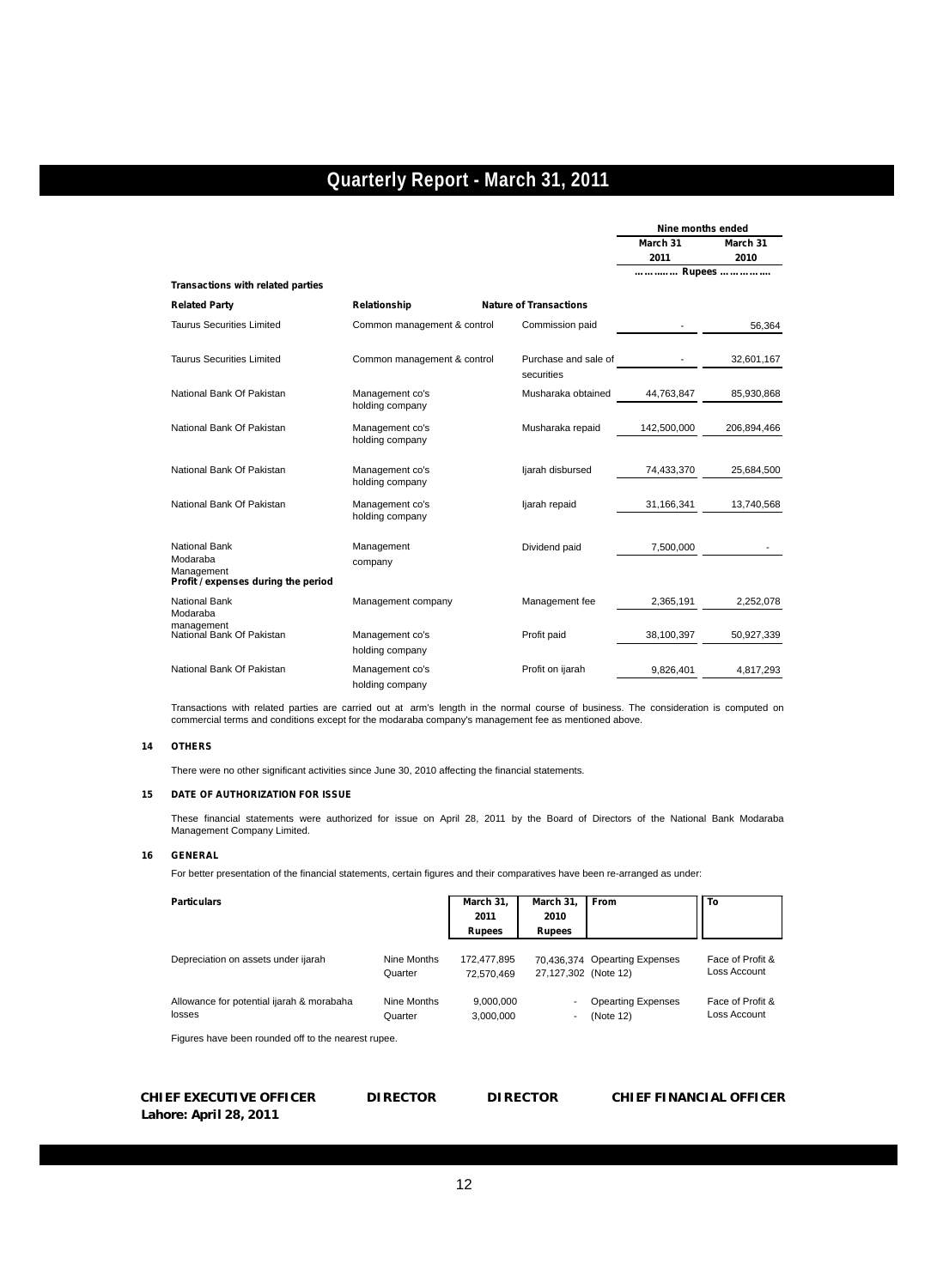|                                                                                |                                    |                                    | Nine months ended |                  |
|--------------------------------------------------------------------------------|------------------------------------|------------------------------------|-------------------|------------------|
|                                                                                |                                    |                                    | March 31<br>2011  | March 31<br>2010 |
|                                                                                |                                    |                                    | Rupees            |                  |
| Transactions with related parties                                              |                                    |                                    |                   |                  |
| <b>Related Party</b>                                                           | Relationship                       | <b>Nature of Transactions</b>      |                   |                  |
| <b>Taurus Securities Limited</b>                                               | Common management & control        | Commission paid                    |                   | 56,364           |
| <b>Taurus Securities Limited</b>                                               | Common management & control        | Purchase and sale of<br>securities |                   | 32,601,167       |
| National Bank Of Pakistan                                                      | Management co's<br>holding company | Musharaka obtained                 | 44,763,847        | 85,930,868       |
| National Bank Of Pakistan                                                      | Management co's<br>holding company | Musharaka repaid                   | 142,500,000       | 206,894,466      |
| National Bank Of Pakistan                                                      | Management co's<br>holding company | ljarah disbursed                   | 74,433,370        | 25,684,500       |
| National Bank Of Pakistan                                                      | Management co's<br>holding company | ljarah repaid                      | 31,166,341        | 13,740,568       |
| National Bank<br>Modaraba<br>Management<br>Profit / expenses during the period | Management<br>company              | Dividend paid                      | 7,500,000         |                  |
| <b>National Bank</b><br>Modaraba                                               | Management company                 | Management fee                     | 2,365,191         | 2,252,078        |
| management<br>National Bank Of Pakistan                                        | Management co's<br>holding company | Profit paid                        | 38,100,397        | 50,927,339       |
| National Bank Of Pakistan                                                      | Management co's<br>holding company | Profit on ijarah                   | 9,826,401         | 4,817,293        |

Transactions with related parties are carried out at arm's length in the normal course of business. The consideration is computed on commercial terms and conditions except for the modaraba company's management fee as mentioned above.

#### **14 OTHERS**

There were no other significant activities since June 30, 2010 affecting the financial statements.

#### **15 DATE OF AUTHORIZATION FOR ISSUE**

These financial statements were authorized for issue on April 28, 2011 by the Board of Directors of the National Bank Modaraba Management Company Limited.

#### **16 GENERAL**

For better presentation of the financial statements, certain figures and their comparatives have been re-arranged as under:

| <b>Particulars</b>                                  |                        | March 31,<br>2011<br><b>Rupees</b> | March 31,<br>2010<br><b>Rupees</b> | <b>From</b>                            | To                               |
|-----------------------------------------------------|------------------------|------------------------------------|------------------------------------|----------------------------------------|----------------------------------|
| Depreciation on assets under ijarah                 | Nine Months<br>Quarter | 172,477,895<br>72.570.469          | 27,127,302 (Note 12)               | 70.436.374 Opearting Expenses          | Face of Profit &<br>Loss Account |
| Allowance for potential ijarah & morabaha<br>losses | Nine Months<br>Quarter | 9.000.000<br>3.000.000             | $\overline{\phantom{a}}$           | <b>Opearting Expenses</b><br>(Note 12) | Face of Profit &<br>Loss Account |

Figures have been rounded off to the nearest rupee.

| CHIEF EXECUTIVE OFFICER | <b>DIF</b> |
|-------------------------|------------|
| Lahore: April 28, 2011  |            |

**DIRECTOR** 

#### **CHIEF EXECUTIVE OFFICER DIRECTOR DIRECTOR CHIEF FINANCIAL OFFICER**